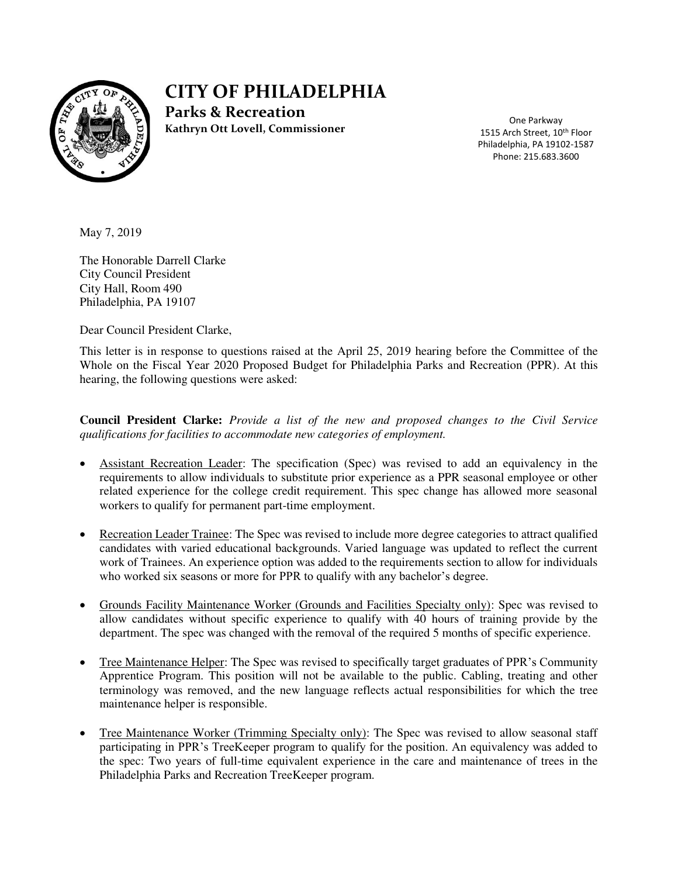

# **CITY OF PHILADELPHIA**

**Parks & Recreation Kathryn Ott Lovell, Commissioner** 

One Parkway 1515 Arch Street, 10<sup>th</sup> Floor Philadelphia, PA 19102-1587 Phone: 215.683.3600

May 7, 2019

The Honorable Darrell Clarke City Council President City Hall, Room 490 Philadelphia, PA 19107

Dear Council President Clarke,

This letter is in response to questions raised at the April 25, 2019 hearing before the Committee of the Whole on the Fiscal Year 2020 Proposed Budget for Philadelphia Parks and Recreation (PPR). At this hearing, the following questions were asked:

**Council President Clarke:** *Provide a list of the new and proposed changes to the Civil Service qualifications for facilities to accommodate new categories of employment.* 

- Assistant Recreation Leader: The specification (Spec) was revised to add an equivalency in the requirements to allow individuals to substitute prior experience as a PPR seasonal employee or other related experience for the college credit requirement. This spec change has allowed more seasonal workers to qualify for permanent part-time employment.
- Recreation Leader Trainee: The Spec was revised to include more degree categories to attract qualified candidates with varied educational backgrounds. Varied language was updated to reflect the current work of Trainees. An experience option was added to the requirements section to allow for individuals who worked six seasons or more for PPR to qualify with any bachelor's degree.
- Grounds Facility Maintenance Worker (Grounds and Facilities Specialty only): Spec was revised to allow candidates without specific experience to qualify with 40 hours of training provide by the department. The spec was changed with the removal of the required 5 months of specific experience.
- Tree Maintenance Helper: The Spec was revised to specifically target graduates of PPR's Community Apprentice Program. This position will not be available to the public. Cabling, treating and other terminology was removed, and the new language reflects actual responsibilities for which the tree maintenance helper is responsible.
- Tree Maintenance Worker (Trimming Specialty only): The Spec was revised to allow seasonal staff participating in PPR's TreeKeeper program to qualify for the position. An equivalency was added to the spec: Two years of full-time equivalent experience in the care and maintenance of trees in the Philadelphia Parks and Recreation TreeKeeper program.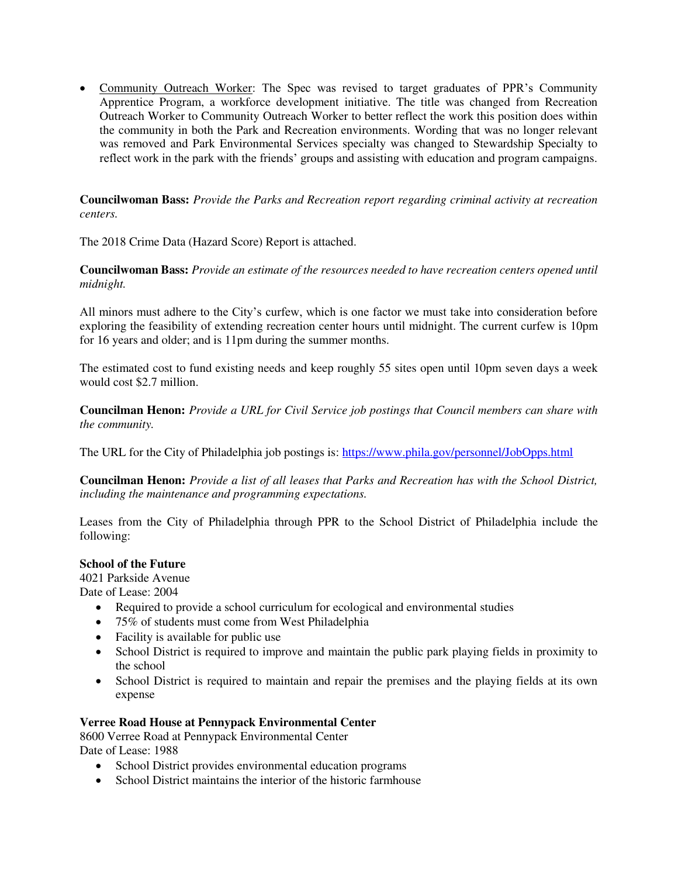• Community Outreach Worker: The Spec was revised to target graduates of PPR's Community Apprentice Program, a workforce development initiative. The title was changed from Recreation Outreach Worker to Community Outreach Worker to better reflect the work this position does within the community in both the Park and Recreation environments. Wording that was no longer relevant was removed and Park Environmental Services specialty was changed to Stewardship Specialty to reflect work in the park with the friends' groups and assisting with education and program campaigns.

**Councilwoman Bass:** *Provide the Parks and Recreation report regarding criminal activity at recreation centers.* 

The 2018 Crime Data (Hazard Score) Report is attached.

**Councilwoman Bass:** *Provide an estimate of the resources needed to have recreation centers opened until midnight.* 

All minors must adhere to the City's curfew, which is one factor we must take into consideration before exploring the feasibility of extending recreation center hours until midnight. The current curfew is 10pm for 16 years and older; and is 11pm during the summer months.

The estimated cost to fund existing needs and keep roughly 55 sites open until 10pm seven days a week would cost \$2.7 million.

**Councilman Henon:** *Provide a URL for Civil Service job postings that Council members can share with the community.* 

The URL for the City of Philadelphia job postings is:<https://www.phila.gov/personnel/JobOpps.html>

**Councilman Henon:** *Provide a list of all leases that Parks and Recreation has with the School District, including the maintenance and programming expectations.* 

Leases from the City of Philadelphia through PPR to the School District of Philadelphia include the following:

#### **School of the Future**

4021 Parkside Avenue

Date of Lease: 2004

- Required to provide a school curriculum for ecological and environmental studies
- 75% of students must come from West Philadelphia
- Facility is available for public use
- School District is required to improve and maintain the public park playing fields in proximity to the school
- School District is required to maintain and repair the premises and the playing fields at its own expense

#### **Verree Road House at Pennypack Environmental Center**

8600 Verree Road at Pennypack Environmental Center Date of Lease: 1988

- - School District provides environmental education programs
	- School District maintains the interior of the historic farmhouse